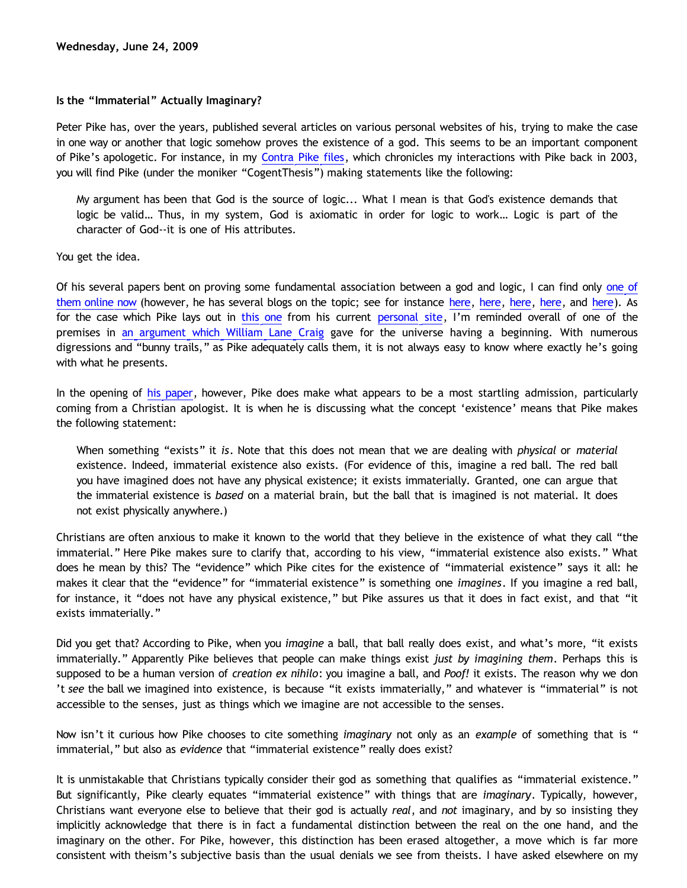## **Is the "Immaterial" Actually Imaginary?**

Peter Pike has, over the years, published several articles on various personal websites of his, trying to make the case in one way or another that logic somehow proves the existence of a god. This seems to be an important component of Pike's apologetic. For instance, in my [Contra Pike files,](http://www.geocities.com/katholon/Contra_Pike.pdf) which chronicles my interactions with Pike back in 2003, you will find Pike (under the moniker "CogentThesis") making statements like the following:

My argument has been that God is the source of logic... What I mean is that God's existence demands that logic be valid… Thus, in my system, God is axiomatic in order for logic to work… Logic is part of the character of God--it is one of His attributes.

You get the idea.

Of his several papers bent on proving some fundamental association between a god and logic, I can find only [one of](http://peterpike.us/philosophy/philosophy0002.aspx) [them online now](http://peterpike.us/philosophy/philosophy0002.aspx) (however, he has several blogs on the topic; see for instance [here](http://triablogue.blogspot.com/2007/04/question-of-logic.html), [here](http://calvindude.com/dude/blog/2006/10/can-logic-be-presupposed-without-god/), [here](http://triablogue.blogspot.com/2007/08/what-logic-requires-us-to-believe-about.html), [here](http://triablogue.blogspot.com/2007/08/what-logic-requires-us-to-believe-about_30.html), and [here\)](http://triablogue.blogspot.com/2007/08/what-logic-requires-us-to-believe-about_27.html). As for the case which Pike lays out in [this one](http://peterpike.us/philosophy/philosophy0002.aspx) from his current [personal site](http://peterpike.us/Default.aspx), I'm reminded overall of one of the premises in [an argument which William Lane Craig](http://www.leaderu.com/truth/3truth11.html) gave for the universe having a beginning. With numerous digressions and "bunny trails," as Pike adequately calls them, it is not always easy to know where exactly he's going with what he presents.

In the opening of [his paper](http://peterpike.us/philosophy/philosophy0002.aspx), however, Pike does make what appears to be a most startling admission, particularly coming from a Christian apologist. It is when he is discussing what the concept 'existence' means that Pike makes the following statement:

When something "exists" it *is*. Note that this does not mean that we are dealing with *physical* or *material* existence. Indeed, immaterial existence also exists. (For evidence of this, imagine a red ball. The red ball you have imagined does not have any physical existence; it exists immaterially. Granted, one can argue that the immaterial existence is *based* on a material brain, but the ball that is imagined is not material. It does not exist physically anywhere.)

Christians are often anxious to make it known to the world that they believe in the existence of what they call "the immaterial." Here Pike makes sure to clarify that, according to his view, "immaterial existence also exists." What does he mean by this? The "evidence" which Pike cites for the existence of "immaterial existence" says it all: he makes it clear that the "evidence" for "immaterial existence" is something one *imagines*. If you imagine a red ball, for instance, it "does not have any physical existence," but Pike assures us that it does in fact exist, and that "it exists immaterially."

Did you get that? According to Pike, when you *imagine* a ball, that ball really does exist, and what's more, "it exists immaterially." Apparently Pike believes that people can make things exist *just by imagining them*. Perhaps this is supposed to be a human version of *creation ex nihilo*: you imagine a ball, and *Poof!* it exists. The reason why we don 't *see* the ball we imagined into existence, is because "it exists immaterially," and whatever is "immaterial" is not accessible to the senses, just as things which we imagine are not accessible to the senses.

Now isn't it curious how Pike chooses to cite something *imaginary* not only as an *example* of something that is " immaterial," but also as *evidence* that "immaterial existence" really does exist?

It is unmistakable that Christians typically consider their god as something that qualifies as "immaterial existence." But significantly, Pike clearly equates "immaterial existence" with things that are *imaginary*. Typically, however, Christians want everyone else to believe that their god is actually *real*, and *not* imaginary, and by so insisting they implicitly acknowledge that there is in fact a fundamental distinction between the real on the one hand, and the imaginary on the other. For Pike, however, this distinction has been erased altogether, a move which is far more consistent with theism's subjective basis than the usual denials we see from theists. I have asked elsewhere on my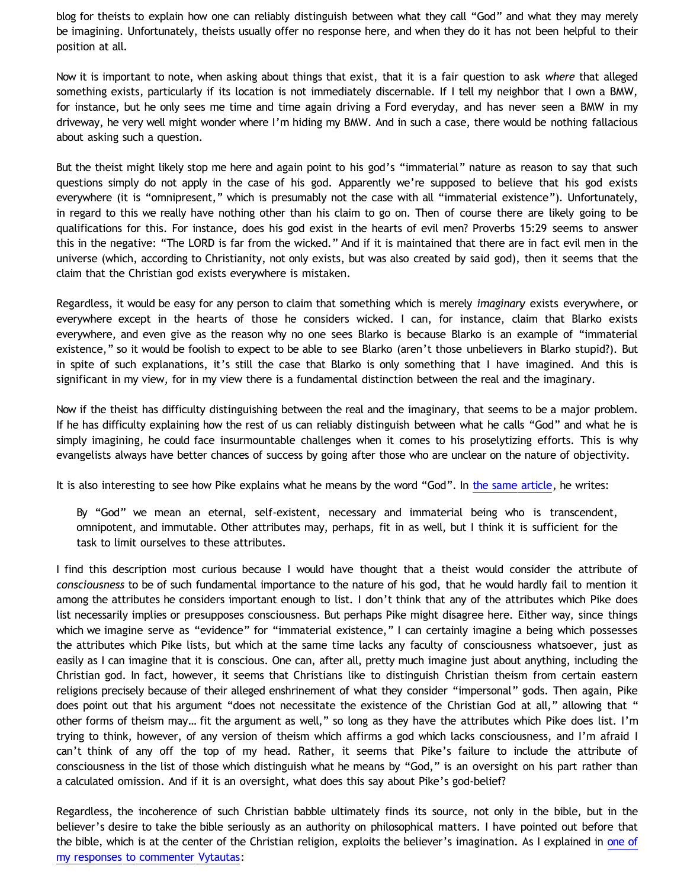blog for theists to explain how one can reliably distinguish between what they call "God" and what they may merely be imagining. Unfortunately, theists usually offer no response here, and when they do it has not been helpful to their position at all.

Now it is important to note, when asking about things that exist, that it is a fair question to ask *where* that alleged something exists, particularly if its location is not immediately discernable. If I tell my neighbor that I own a BMW, for instance, but he only sees me time and time again driving a Ford everyday, and has never seen a BMW in my driveway, he very well might wonder where I'm hiding my BMW. And in such a case, there would be nothing fallacious about asking such a question.

But the theist might likely stop me here and again point to his god's "immaterial" nature as reason to say that such questions simply do not apply in the case of his god. Apparently we're supposed to believe that his god exists everywhere (it is "omnipresent," which is presumably not the case with all "immaterial existence"). Unfortunately, in regard to this we really have nothing other than his claim to go on. Then of course there are likely going to be qualifications for this. For instance, does his god exist in the hearts of evil men? Proverbs 15:29 seems to answer this in the negative: "The LORD is far from the wicked." And if it is maintained that there are in fact evil men in the universe (which, according to Christianity, not only exists, but was also created by said god), then it seems that the claim that the Christian god exists everywhere is mistaken.

Regardless, it would be easy for any person to claim that something which is merely *imaginary* exists everywhere, or everywhere except in the hearts of those he considers wicked. I can, for instance, claim that Blarko exists everywhere, and even give as the reason why no one sees Blarko is because Blarko is an example of "immaterial existence," so it would be foolish to expect to be able to see Blarko (aren't those unbelievers in Blarko stupid?). But in spite of such explanations, it's still the case that Blarko is only something that I have imagined. And this is significant in my view, for in my view there is a fundamental distinction between the real and the imaginary.

Now if the theist has difficulty distinguishing between the real and the imaginary, that seems to be a major problem. If he has difficulty explaining how the rest of us can reliably distinguish between what he calls "God" and what he is simply imagining, he could face insurmountable challenges when it comes to his proselytizing efforts. This is why evangelists always have better chances of success by going after those who are unclear on the nature of objectivity.

It is also interesting to see how Pike explains what he means by the word "God". In [the same article,](http://peterpike.us/philosophy/philosophy0002.aspx) he writes:

By "God" we mean an eternal, self-existent, necessary and immaterial being who is transcendent, omnipotent, and immutable. Other attributes may, perhaps, fit in as well, but I think it is sufficient for the task to limit ourselves to these attributes.

I find this description most curious because I would have thought that a theist would consider the attribute of *consciousness* to be of such fundamental importance to the nature of his god, that he would hardly fail to mention it among the attributes he considers important enough to list. I don't think that any of the attributes which Pike does list necessarily implies or presupposes consciousness. But perhaps Pike might disagree here. Either way, since things which we imagine serve as "evidence" for "immaterial existence," I can certainly imagine a being which possesses the attributes which Pike lists, but which at the same time lacks any faculty of consciousness whatsoever, just as easily as I can imagine that it is conscious. One can, after all, pretty much imagine just about anything, including the Christian god. In fact, however, it seems that Christians like to distinguish Christian theism from certain eastern religions precisely because of their alleged enshrinement of what they consider "impersonal" gods. Then again, Pike does point out that his argument "does not necessitate the existence of the Christian God at all," allowing that " other forms of theism may... fit the argument as well," so long as they have the attributes which Pike does list. I'm trying to think, however, of any version of theism which affirms a god which lacks consciousness, and I'm afraid I can't think of any off the top of my head. Rather, it seems that Pike's failure to include the attribute of consciousness in the list of those which distinguish what he means by "God," is an oversight on his part rather than a calculated omission. And if it is an oversight, what does this say about Pike's god-belief?

Regardless, the incoherence of such Christian babble ultimately finds its source, not only in the bible, but in the believer's desire to take the bible seriously as an authority on philosophical matters. I have pointed out before that the bible, which is at the center of the Christian religion, exploits the believer's imagination. As I explained in [one of](http://bahnsenburner.blogspot.com/2008/01/imaginative-basis-of-vytautas-god_18.html) [my responses to commenter Vytautas](http://bahnsenburner.blogspot.com/2008/01/imaginative-basis-of-vytautas-god_18.html):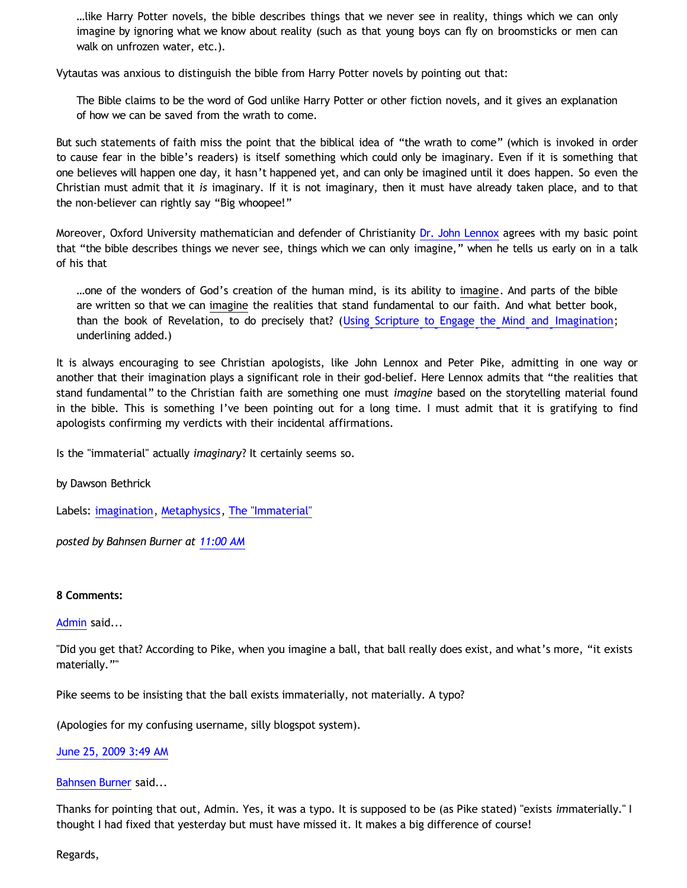…like Harry Potter novels, the bible describes things that we never see in reality, things which we can only imagine by ignoring what we know about reality (such as that young boys can fly on broomsticks or men can walk on unfrozen water, etc.).

Vytautas was anxious to distinguish the bible from Harry Potter novels by pointing out that:

The Bible claims to be the word of God unlike Harry Potter or other fiction novels, and it gives an explanation of how we can be saved from the wrath to come.

But such statements of faith miss the point that the biblical idea of "the wrath to come" (which is invoked in order to cause fear in the bible's readers) is itself something which could only be imaginary. Even if it is something that one believes will happen one day, it hasn't happened yet, and can only be imagined until it does happen. So even the Christian must admit that it *is* imaginary. If it is not imaginary, then it must have already taken place, and to that the non-believer can rightly say "Big whoopee!"

Moreover, Oxford University mathematician and defender of Christianity [Dr. John Lennox](http://www.johnlennox.org/) agrees with my basic point that "the bible describes things we never see, things which we can only imagine," when he tells us early on in a talk of his that

…one of the wonders of God's creation of the human mind, is its ability to imagine. And parts of the bible are written so that we can imagine the realities that stand fundamental to our faith. And what better book, than the book of Revelation, to do precisely that? ([Using Scripture to Engage the Mind and Imagination;](http://salemnet.vo.llnwd.net/o29/truthforlife/gs897-usingscripturetoengagethemindandimagination.mp3) underlining added.)

It is always encouraging to see Christian apologists, like John Lennox and Peter Pike, admitting in one way or another that their imagination plays a significant role in their god-belief. Here Lennox admits that "the realities that stand fundamental" to the Christian faith are something one must *imagine* based on the storytelling material found in the bible. This is something I've been pointing out for a long time. I must admit that it is gratifying to find apologists confirming my verdicts with their incidental affirmations.

Is the "immaterial" actually *imaginary*? It certainly seems so.

by Dawson Bethrick

Labels: [imagination](http://bahnsenburner.blogspot.com/search/label/imagination), [Metaphysics](http://bahnsenburner.blogspot.com/search/label/Metaphysics), [The "Immaterial"](http://bahnsenburner.blogspot.com/search/label/The%20%22Immaterial%22)

*posted by Bahnsen Burner at [11:00 AM](http://bahnsenburner.blogspot.com/2009/06/is-immaterial-actually-imaginary.html)*

**8 Comments:**

[Admin](http://www.blogger.com/profile/00463512071229137444) said...

"Did you get that? According to Pike, when you imagine a ball, that ball really does exist, and what's more, "it exists materially.""

Pike seems to be insisting that the ball exists immaterially, not materially. A typo?

(Apologies for my confusing username, silly blogspot system).

[June 25, 2009 3:49 AM](http://bahnsenburner.blogspot.com/2009/06/7379549923993930878)

[Bahnsen Burner](http://www.blogger.com/profile/11030029491768748360) said...

Thanks for pointing that out, Admin. Yes, it was a typo. It is supposed to be (as Pike stated) "exists *im*materially." I thought I had fixed that yesterday but must have missed it. It makes a big difference of course!

Regards,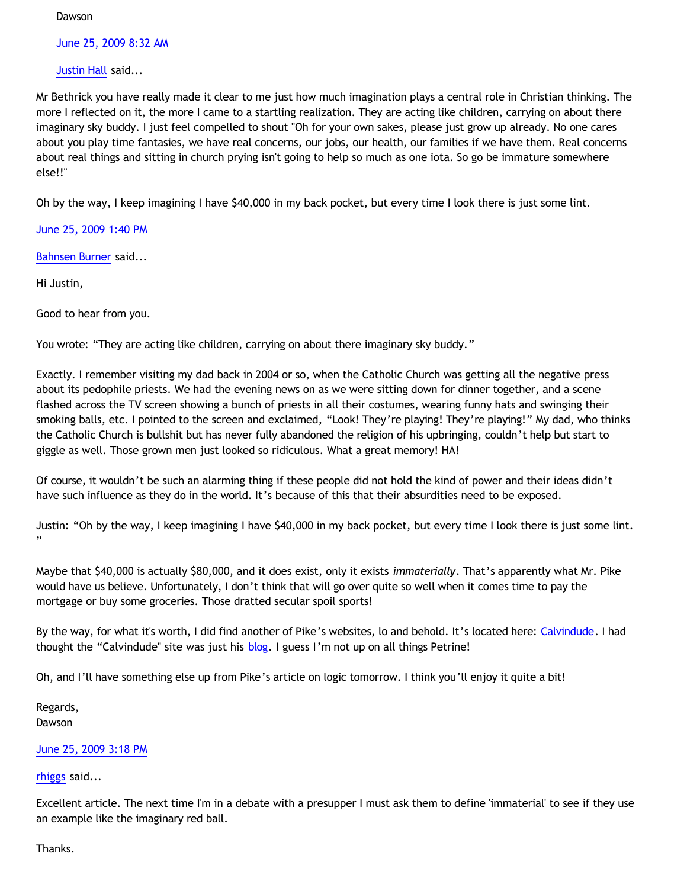**Dawson** 

[June 25, 2009 8:32 AM](http://bahnsenburner.blogspot.com/2009/06/7620759525298997687)

[Justin Hall](http://www.blogger.com/profile/17804641315202800289) said...

Mr Bethrick you have really made it clear to me just how much imagination plays a central role in Christian thinking. The more I reflected on it, the more I came to a startling realization. They are acting like children, carrying on about there imaginary sky buddy. I just feel compelled to shout "Oh for your own sakes, please just grow up already. No one cares about you play time fantasies, we have real concerns, our jobs, our health, our families if we have them. Real concerns about real things and sitting in church prying isn't going to help so much as one iota. So go be immature somewhere else!!"

Oh by the way, I keep imagining I have \$40,000 in my back pocket, but every time I look there is just some lint.

[June 25, 2009 1:40 PM](http://bahnsenburner.blogspot.com/2009/06/6712112923096155187)

[Bahnsen Burner](http://www.blogger.com/profile/11030029491768748360) said...

Hi Justin,

Good to hear from you.

You wrote: "They are acting like children, carrying on about there imaginary sky buddy."

Exactly. I remember visiting my dad back in 2004 or so, when the Catholic Church was getting all the negative press about its pedophile priests. We had the evening news on as we were sitting down for dinner together, and a scene flashed across the TV screen showing a bunch of priests in all their costumes, wearing funny hats and swinging their smoking balls, etc. I pointed to the screen and exclaimed, "Look! They're playing! They're playing!" My dad, who thinks the Catholic Church is bullshit but has never fully abandoned the religion of his upbringing, couldn't help but start to giggle as well. Those grown men just looked so ridiculous. What a great memory! HA!

Of course, it wouldn't be such an alarming thing if these people did not hold the kind of power and their ideas didn't have such influence as they do in the world. It's because of this that their absurdities need to be exposed.

Justin: "Oh by the way, I keep imagining I have \$40,000 in my back pocket, but every time I look there is just some lint. "

Maybe that \$40,000 is actually \$80,000, and it does exist, only it exists *immaterially*. That's apparently what Mr. Pike would have us believe. Unfortunately, I don't think that will go over quite so well when it comes time to pay the mortgage or buy some groceries. Those dratted secular spoil sports!

By the way, for what it's worth, I did find another of Pike's websites, lo and behold. It's located here: [Calvindude](http://calvindude.com/index.php). I had thought the "Calvindude" site was just his [blog](http://calvindude.com/dude/). I guess I'm not up on all things Petrine!

Oh, and I'll have something else up from Pike's article on logic tomorrow. I think you'll enjoy it quite a bit!

Regards, Dawson

[June 25, 2009 3:18 PM](http://bahnsenburner.blogspot.com/2009/06/8984730069674044642)

[rhiggs](http://www.blogger.com/profile/16246371823456833408) said...

Excellent article. The next time I'm in a debate with a presupper I must ask them to define 'immaterial' to see if they use an example like the imaginary red ball.

Thanks.